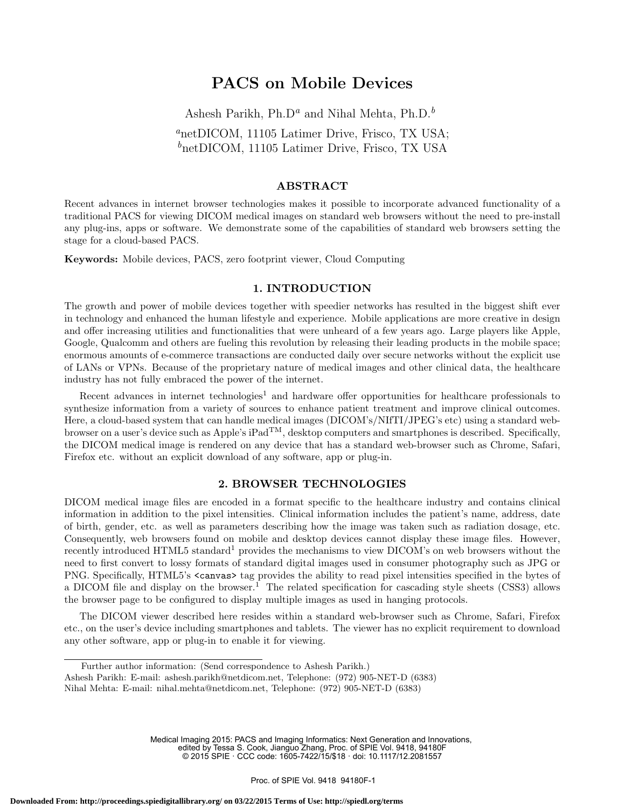# PACS on Mobile Devices

Ashesh Parikh, Ph.D<sup>a</sup> and Nihal Mehta, Ph.D.<sup>b</sup> <sup>a</sup>netDICOM, 11105 Latimer Drive, Frisco, TX USA;  $b$ netDICOM, 11105 Latimer Drive, Frisco, TX USA

## ABSTRACT

Recent advances in internet browser technologies makes it possible to incorporate advanced functionality of a traditional PACS for viewing DICOM medical images on standard web browsers without the need to pre-install any plug-ins, apps or software. We demonstrate some of the capabilities of standard web browsers setting the stage for a cloud-based PACS.

Keywords: Mobile devices, PACS, zero footprint viewer, Cloud Computing

## 1. INTRODUCTION

The growth and power of mobile devices together with speedier networks has resulted in the biggest shift ever in technology and enhanced the human lifestyle and experience. Mobile applications are more creative in design and offer increasing utilities and functionalities that were unheard of a few years ago. Large players like Apple, Google, Qualcomm and others are fueling this revolution by releasing their leading products in the mobile space; enormous amounts of e-commerce transactions are conducted daily over secure networks without the explicit use of LANs or VPNs. Because of the proprietary nature of medical images and other clinical data, the healthcare industry has not fully embraced the power of the internet.

Recent advances in internet technologies<sup>1</sup> and hardware offer opportunities for healthcare professionals to synthesize information from a variety of sources to enhance patient treatment and improve clinical outcomes. Here, a cloud-based system that can handle medical images (DICOM's/NIfTI/JPEG's etc) using a standard webbrowser on a user's device such as Apple's iPad<sup>TM</sup>, desktop computers and smartphones is described. Specifically, the DICOM medical image is rendered on any device that has a standard web-browser such as Chrome, Safari, Firefox etc. without an explicit download of any software, app or plug-in.

## 2. BROWSER TECHNOLOGIES

DICOM medical image files are encoded in a format specific to the healthcare industry and contains clinical information in addition to the pixel intensities. Clinical information includes the patient's name, address, date of birth, gender, etc. as well as parameters describing how the image was taken such as radiation dosage, etc. Consequently, web browsers found on mobile and desktop devices cannot display these image files. However, recently introduced HTML5 standard<sup>1</sup> provides the mechanisms to view DICOM's on web browsers without the need to first convert to lossy formats of standard digital images used in consumer photography such as JPG or PNG. Specifically, HTML5's <canvas> tag provides the ability to read pixel intensities specified in the bytes of a DICOM file and display on the browser.<sup>1</sup> The related specification for cascading style sheets (CSS3) allows the browser page to be configured to display multiple images as used in hanging protocols.

The DICOM viewer described here resides within a standard web-browser such as Chrome, Safari, Firefox etc., on the user's device including smartphones and tablets. The viewer has no explicit requirement to download any other software, app or plug-in to enable it for viewing.

Medical Imaging 2015: PACS and Imaging Informatics: Next Generation and Innovations, edited by Tessa S. Cook, Jianguo Zhang, Proc. of SPIE Vol. 9418, 94180F © 2015 SPIE · CCC code: 1605-7422/15/\$18 · doi: 10.1117/12.2081557

Further author information: (Send correspondence to Ashesh Parikh.)

Ashesh Parikh: E-mail: ashesh.parikh@netdicom.net, Telephone: (972) 905-NET-D (6383)

Nihal Mehta: E-mail: nihal.mehta@netdicom.net, Telephone: (972) 905-NET-D (6383)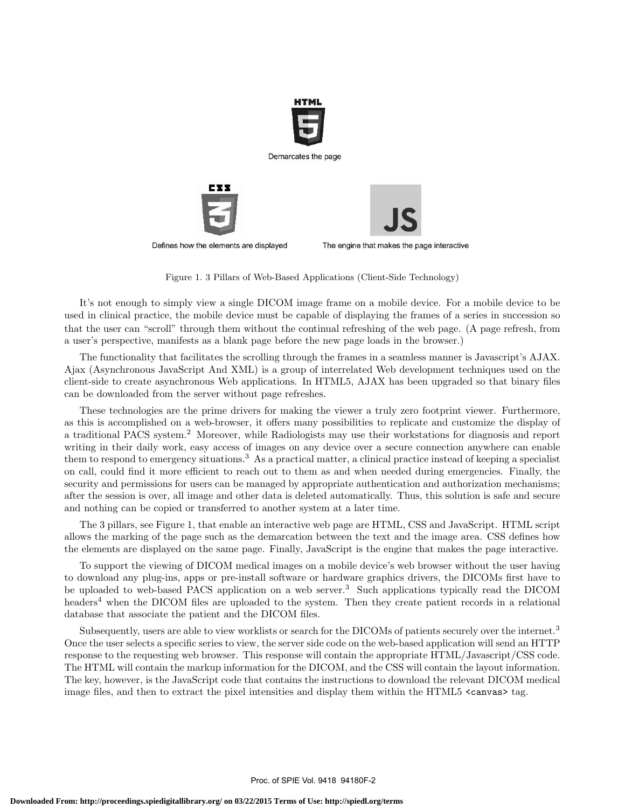

Figure 1. 3 Pillars of Web-Based Applications (Client-Side Technology)

that the user can "scroll" through them without the continual refreshing of the web page. (A page refresh, from a user's perspective, manifests as a blank page before the new page loads in the browser.) It's not enough to simply view a single DICOM image frame on a mobile device. For a mobile device to be used in clinical practice, the mobile device must be capable of displaying the frames of a series in succession so

The functionality that facilitates the scrolling through the frames in a seamless manner is Javascript's AJAX. Ajax (Asynchronous JavaScript And XML) is a group of interrelated Web development techniques used on the client-side to create asynchronous Web applications. In HTML5, AJAX has been upgraded so that binary files can be downloaded from the server without page refreshes.

These technologies are the prime drivers for making the viewer a truly zero footprint viewer. Furthermore, as this is accomplished on a web-browser, it offers many possibilities to replicate and customize the display of a traditional PACS system.<sup>2</sup> Moreover, while Radiologists may use their workstations for diagnosis and report writing in their daily work, easy access of images on any device over a secure connection anywhere can enable them to respond to emergency situations.<sup>3</sup> As a practical matter, a clinical practice instead of keeping a specialist on call, could find it more efficient to reach out to them as and when needed during emergencies. Finally, the security and permissions for users can be managed by appropriate authentication and authorization mechanisms; after the session is over, all image and other data is deleted automatically. Thus, this solution is safe and secure and nothing can be copied or transferred to another system at a later time.

The 3 pillars, see Figure 1, that enable an interactive web page are HTML, CSS and JavaScript. HTML script allows the marking of the page such as the demarcation between the text and the image area. CSS defines how the elements are displayed on the same page. Finally, JavaScript is the engine that makes the page interactive.

To support the viewing of DICOM medical images on a mobile device's web browser without the user having to download any plug-ins, apps or pre-install software or hardware graphics drivers, the DICOMs first have to be uploaded to web-based PACS application on a web server.<sup>3</sup> Such applications typically read the DICOM headers<sup>4</sup> when the DICOM files are uploaded to the system. Then they create patient records in a relational database that associate the patient and the DICOM files.

Subsequently, users are able to view worklists or search for the DICOMs of patients securely over the internet.<sup>3</sup> Once the user selects a specific series to view, the server side code on the web-based application will send an HTTP response to the requesting web browser. This response will contain the appropriate HTML/Javascript/CSS code. The HTML will contain the markup information for the DICOM, and the CSS will contain the layout information. The key, however, is the JavaScript code that contains the instructions to download the relevant DICOM medical image files, and then to extract the pixel intensities and display them within the HTML5 <canvas> tag.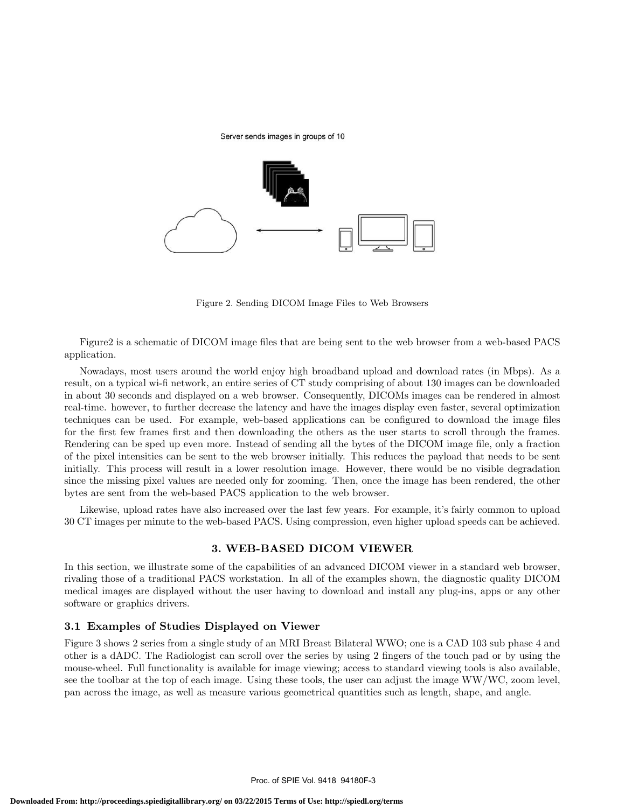



Figure 2. Sending DICOM Image Files to Web Browsers

Figure2 is a schematic of DICOM image files that are being sent to the web browser from a web-based PACS application.

Nowadays, most users around the world enjoy high broadband upload and download rates (in Mbps). As a result, on a typical wi-fi network, an entire series of CT study comprising of about 130 images can be downloaded in about 30 seconds and displayed on a web browser. Consequently, DICOMs images can be rendered in almost real-time. however, to further decrease the latency and have the images display even faster, several optimization techniques can be used. For example, web-based applications can be configured to download the image files for the first few frames first and then downloading the others as the user starts to scroll through the frames. Rendering can be sped up even more. Instead of sending all the bytes of the DICOM image file, only a fraction of the pixel intensities can be sent to the web browser initially. This reduces the payload that needs to be sent initially. This process will result in a lower resolution image. However, there would be no visible degradation since the missing pixel values are needed only for zooming. Then, once the image has been rendered, the other bytes are sent from the web-based PACS application to the web browser.

Likewise, upload rates have also increased over the last few years. For example, it's fairly common to upload 30 CT images per minute to the web-based PACS. Using compression, even higher upload speeds can be achieved.

## 3. WEB-BASED DICOM VIEWER

In this section, we illustrate some of the capabilities of an advanced DICOM viewer in a standard web browser, rivaling those of a traditional PACS workstation. In all of the examples shown, the diagnostic quality DICOM medical images are displayed without the user having to download and install any plug-ins, apps or any other software or graphics drivers.

#### 3.1 Examples of Studies Displayed on Viewer

Figure 3 shows 2 series from a single study of an MRI Breast Bilateral WWO; one is a CAD 103 sub phase 4 and other is a dADC. The Radiologist can scroll over the series by using 2 fingers of the touch pad or by using the mouse-wheel. Full functionality is available for image viewing; access to standard viewing tools is also available, see the toolbar at the top of each image. Using these tools, the user can adjust the image WW/WC, zoom level, pan across the image, as well as measure various geometrical quantities such as length, shape, and angle.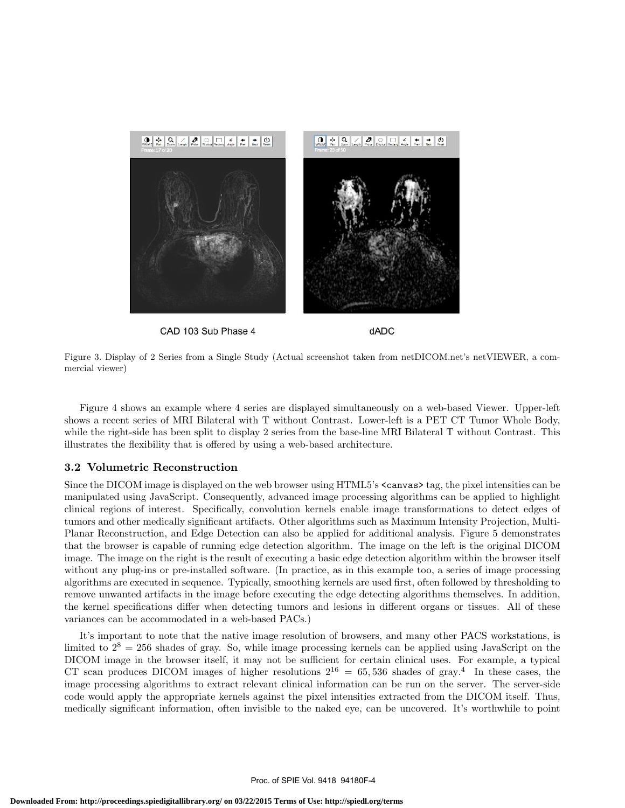

CAD 103 Sub Phase 4

dADC

Figure 3. Display of 2 Series from a Single Study (Actual screenshot taken from netDICOM.net's netVIEWER, a commercial viewer)

Figure 4 shows an example where 4 series are displayed simultaneously on a web-based Viewer. Upper-left shows a recent series of MRI Bilateral with T without Contrast. Lower-left is a PET CT Tumor Whole Body, while the right-side has been split to display 2 series from the base-line MRI Bilateral T without Contrast. This illustrates the flexibility that is offered by using a web-based architecture.

## 3.2 Volumetric Reconstruction

Since the DICOM image is displayed on the web browser using HTML5's <canvas> tag, the pixel intensities can be manipulated using JavaScript. Consequently, advanced image processing algorithms can be applied to highlight clinical regions of interest. Specifically, convolution kernels enable image transformations to detect edges of tumors and other medically significant artifacts. Other algorithms such as Maximum Intensity Projection, Multi-Planar Reconstruction, and Edge Detection can also be applied for additional analysis. Figure 5 demonstrates that the browser is capable of running edge detection algorithm. The image on the left is the original DICOM image. The image on the right is the result of executing a basic edge detection algorithm within the browser itself without any plug-ins or pre-installed software. (In practice, as in this example too, a series of image processing algorithms are executed in sequence. Typically, smoothing kernels are used first, often followed by thresholding to remove unwanted artifacts in the image before executing the edge detecting algorithms themselves. In addition, the kernel specifications differ when detecting tumors and lesions in different organs or tissues. All of these variances can be accommodated in a web-based PACs.)

It's important to note that the native image resolution of browsers, and many other PACS workstations, is limited to  $2^8 = 256$  shades of gray. So, while image processing kernels can be applied using JavaScript on the DICOM image in the browser itself, it may not be sufficient for certain clinical uses. For example, a typical CT scan produces DICOM images of higher resolutions  $2^{16} = 65,536$  shades of gray.<sup>4</sup> In these cases, the image processing algorithms to extract relevant clinical information can be run on the server. The server-side code would apply the appropriate kernels against the pixel intensities extracted from the DICOM itself. Thus, medically significant information, often invisible to the naked eye, can be uncovered. It's worthwhile to point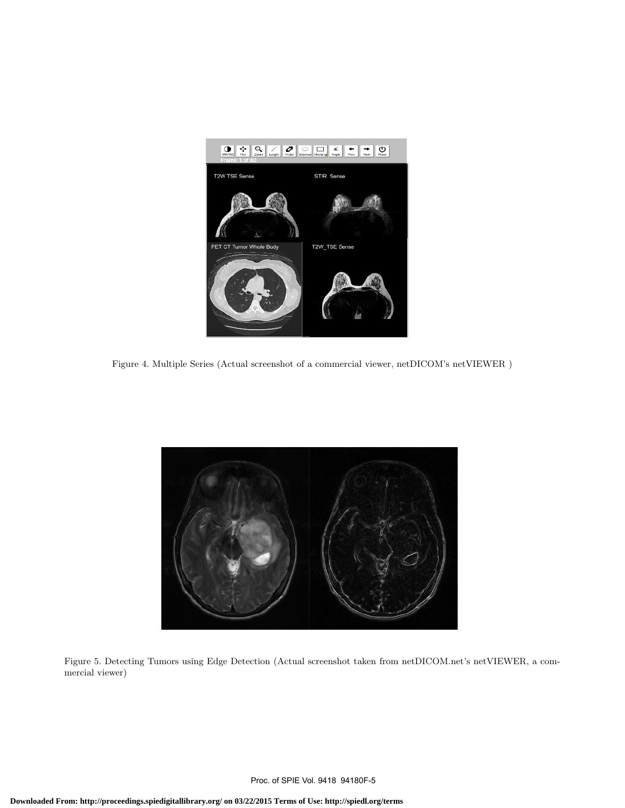

Figure 4. Multiple Series (Actual screenshot of a commercial viewer, netDICOM's netVIEWER )



Figure 5. Detecting Tumors using Edge Detection (Actual screenshot taken from netDICOM.net's netVIEWER, a commercial viewer)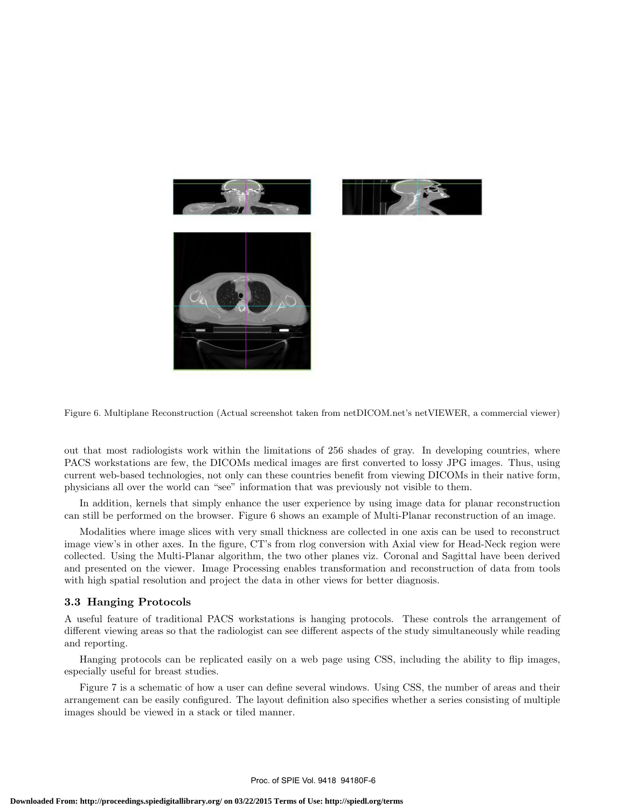

Figure 6. Multiplane Reconstruction (Actual screenshot taken from netDICOM.net's netVIEWER, a commercial viewer)

out that most radiologists work within the limitations of 256 shades of gray. In developing countries, where PACS workstations are few, the DICOMs medical images are first converted to lossy JPG images. Thus, using current web-based technologies, not only can these countries benefit from viewing DICOMs in their native form, physicians all over the world can "see" information that was previously not visible to them.

In addition, kernels that simply enhance the user experience by using image data for planar reconstruction can still be performed on the browser. Figure 6 shows an example of Multi-Planar reconstruction of an image.

Modalities where image slices with very small thickness are collected in one axis can be used to reconstruct image view's in other axes. In the figure, CT's from rlog conversion with Axial view for Head-Neck region were collected. Using the Multi-Planar algorithm, the two other planes viz. Coronal and Sagittal have been derived and presented on the viewer. Image Processing enables transformation and reconstruction of data from tools with high spatial resolution and project the data in other views for better diagnosis.

#### 3.3 Hanging Protocols

A useful feature of traditional PACS workstations is hanging protocols. These controls the arrangement of different viewing areas so that the radiologist can see different aspects of the study simultaneously while reading and reporting.

Hanging protocols can be replicated easily on a web page using CSS, including the ability to flip images, especially useful for breast studies.

Figure 7 is a schematic of how a user can define several windows. Using CSS, the number of areas and their arrangement can be easily configured. The layout definition also specifies whether a series consisting of multiple images should be viewed in a stack or tiled manner.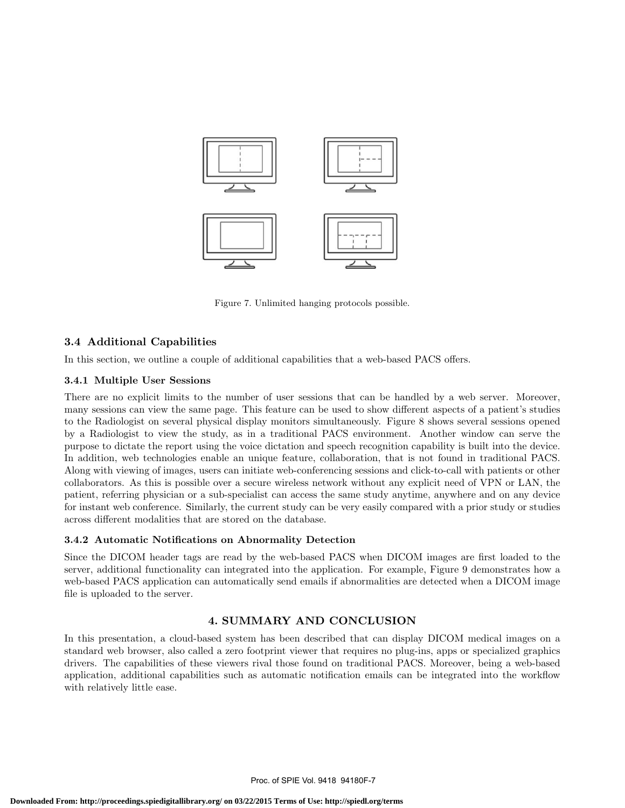

.1 Figure 7. Unlimited hanging protocols possible.

## 3.4 Additional Capabilities

In this section, we outline a couple of additional capabilities that a web-based PACS offers.

## 3.4.1 Multiple User Sessions

There are no explicit limits to the number of user sessions that can be handled by a web server. Moreover, many sessions can view the same page. This feature can be used to show different aspects of a patient's studies to the Radiologist on several physical display monitors simultaneously. Figure 8 shows several sessions opened by a Radiologist to view the study, as in a traditional PACS environment. Another window can serve the purpose to dictate the report using the voice dictation and speech recognition capability is built into the device. In addition, web technologies enable an unique feature, collaboration, that is not found in traditional PACS. Along with viewing of images, users can initiate web-conferencing sessions and click-to-call with patients or other collaborators. As this is possible over a secure wireless network without any explicit need of VPN or LAN, the patient, referring physician or a sub-specialist can access the same study anytime, anywhere and on any device for instant web conference. Similarly, the current study can be very easily compared with a prior study or studies across different modalities that are stored on the database.

## 3.4.2 Automatic Notifications on Abnormality Detection

Since the DICOM header tags are read by the web-based PACS when DICOM images are first loaded to the server, additional functionality can integrated into the application. For example, Figure 9 demonstrates how a web-based PACS application can automatically send emails if abnormalities are detected when a DICOM image file is uploaded to the server.

## 4. SUMMARY AND CONCLUSION

In this presentation, a cloud-based system has been described that can display DICOM medical images on a standard web browser, also called a zero footprint viewer that requires no plug-ins, apps or specialized graphics drivers. The capabilities of these viewers rival those found on traditional PACS. Moreover, being a web-based application, additional capabilities such as automatic notification emails can be integrated into the workflow with relatively little ease.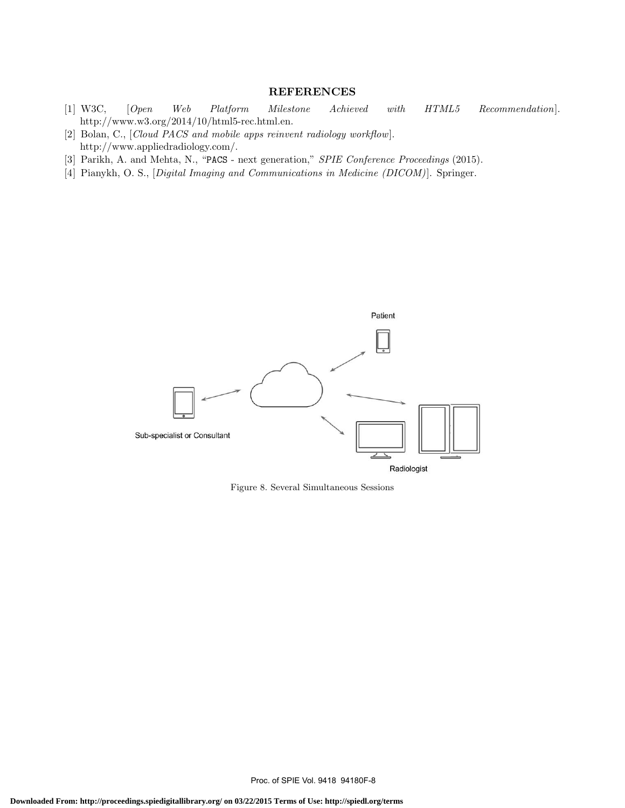## **REFERENCES**

- [1] W3C, [Open Web Platform Milestone Achieved with HTML5 Recommendation]. http://www.w3.org/2014/10/html5-rec.html.en.
- [2] Bolan, C., [Cloud PACS and mobile apps reinvent radiology workflow]. http://www.appliedradiology.com/.
- [3] Parikh, A. and Mehta, N., "PACS next generation," SPIE Conference Proceedings (2015).
- [4] Pianykh, O. S., [Digital Imaging and Communications in Medicine (DICOM)]. Springer.



Figure 8. Several Simultaneous Sessions